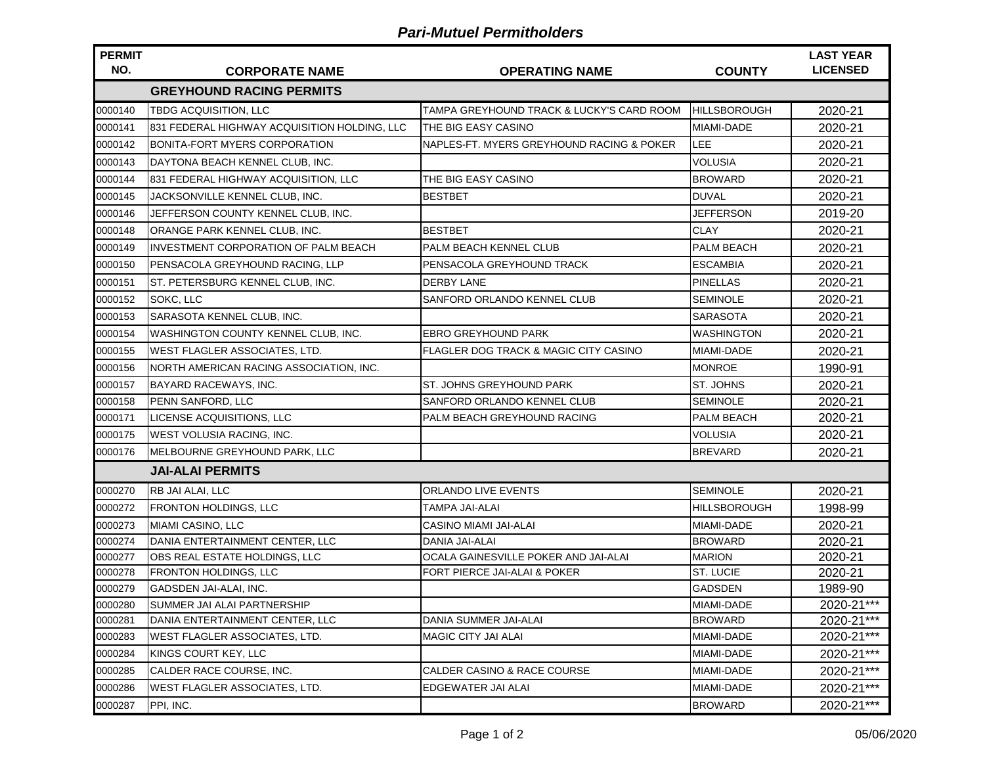## *Pari-Mutuel Permitholders*

| <b>PERMIT</b> |                                              |                                                  |                     | <b>LAST YEAR</b> |  |  |  |  |
|---------------|----------------------------------------------|--------------------------------------------------|---------------------|------------------|--|--|--|--|
| NO.           | <b>CORPORATE NAME</b>                        | <b>OPERATING NAME</b>                            | <b>COUNTY</b>       | <b>LICENSED</b>  |  |  |  |  |
|               | <b>GREYHOUND RACING PERMITS</b>              |                                                  |                     |                  |  |  |  |  |
| 0000140       | TBDG ACQUISITION, LLC                        | TAMPA GREYHOUND TRACK & LUCKY'S CARD ROOM        | <b>HILLSBOROUGH</b> | 2020-21          |  |  |  |  |
| 0000141       | 831 FEDERAL HIGHWAY ACQUISITION HOLDING. LLC | THE BIG EASY CASINO                              | <b>MIAMI-DADE</b>   | 2020-21          |  |  |  |  |
| 0000142       | BONITA-FORT MYERS CORPORATION                | NAPLES-FT. MYERS GREYHOUND RACING & POKER        | <b>LEE</b>          | 2020-21          |  |  |  |  |
| 0000143       | DAYTONA BEACH KENNEL CLUB, INC.              |                                                  | <b>VOLUSIA</b>      | 2020-21          |  |  |  |  |
| 0000144       | 831 FEDERAL HIGHWAY ACQUISITION, LLC         | THE BIG EASY CASINO                              | <b>BROWARD</b>      | 2020-21          |  |  |  |  |
| 0000145       | JACKSONVILLE KENNEL CLUB, INC.               | <b>BESTBET</b>                                   | <b>DUVAL</b>        | 2020-21          |  |  |  |  |
| 0000146       | JEFFERSON COUNTY KENNEL CLUB, INC.           |                                                  | <b>JEFFERSON</b>    | 2019-20          |  |  |  |  |
| 0000148       | <b>ORANGE PARK KENNEL CLUB, INC.</b>         | <b>BESTBET</b>                                   | <b>CLAY</b>         | 2020-21          |  |  |  |  |
| 0000149       | <b>INVESTMENT CORPORATION OF PALM BEACH</b>  | PALM BEACH KENNEL CLUB                           | <b>PALM BEACH</b>   | 2020-21          |  |  |  |  |
| 0000150       | PENSACOLA GREYHOUND RACING, LLP              | PENSACOLA GREYHOUND TRACK                        | <b>ESCAMBIA</b>     | 2020-21          |  |  |  |  |
| 0000151       | ST. PETERSBURG KENNEL CLUB, INC.             | <b>DERBY LANE</b>                                | <b>PINELLAS</b>     | 2020-21          |  |  |  |  |
| 0000152       | SOKC, LLC                                    | SANFORD ORLANDO KENNEL CLUB                      | <b>SEMINOLE</b>     | 2020-21          |  |  |  |  |
| 0000153       | SARASOTA KENNEL CLUB, INC.                   |                                                  | <b>SARASOTA</b>     | 2020-21          |  |  |  |  |
| 0000154       | WASHINGTON COUNTY KENNEL CLUB, INC.          | <b>EBRO GREYHOUND PARK</b>                       | <b>WASHINGTON</b>   | 2020-21          |  |  |  |  |
| 0000155       | IWEST FLAGLER ASSOCIATES, LTD.               | <b>FLAGLER DOG TRACK &amp; MAGIC CITY CASINO</b> | MIAMI-DADE          | 2020-21          |  |  |  |  |
| 0000156       | NORTH AMERICAN RACING ASSOCIATION. INC.      |                                                  | <b>MONROE</b>       | 1990-91          |  |  |  |  |
| 0000157       | <b>BAYARD RACEWAYS, INC.</b>                 | ST. JOHNS GREYHOUND PARK                         | ST. JOHNS           | 2020-21          |  |  |  |  |
| 0000158       | PENN SANFORD, LLC                            | SANFORD ORLANDO KENNEL CLUB                      | <b>SEMINOLE</b>     | 2020-21          |  |  |  |  |
| 0000171       | LICENSE ACQUISITIONS, LLC                    | PALM BEACH GREYHOUND RACING                      | PALM BEACH          | 2020-21          |  |  |  |  |
| 0000175       | <b>WEST VOLUSIA RACING, INC.</b>             |                                                  | VOLUSIA             | 2020-21          |  |  |  |  |
| 0000176       | MELBOURNE GREYHOUND PARK, LLC                |                                                  | <b>BREVARD</b>      | 2020-21          |  |  |  |  |
|               | <b>JAI-ALAI PERMITS</b>                      |                                                  |                     |                  |  |  |  |  |
| 0000270       | RB JAI ALAI, LLC                             | ORLANDO LIVE EVENTS                              | <b>SEMINOLE</b>     | 2020-21          |  |  |  |  |
| 0000272       | <b>FRONTON HOLDINGS, LLC</b>                 | TAMPA JAI-ALAI                                   | <b>HILLSBOROUGH</b> | 1998-99          |  |  |  |  |
| 0000273       | MIAMI CASINO, LLC                            | <b>CASINO MIAMI JAI-ALAI</b>                     | MIAMI-DADE          | 2020-21          |  |  |  |  |
| 0000274       | DANIA ENTERTAINMENT CENTER, LLC              | <b>DANIA JAI-ALAI</b>                            | <b>BROWARD</b>      | 2020-21          |  |  |  |  |
| 0000277       | OBS REAL ESTATE HOLDINGS, LLC                | OCALA GAINESVILLE POKER AND JAI-ALAI             | <b>MARION</b>       | 2020-21          |  |  |  |  |
| 0000278       | FRONTON HOLDINGS, LLC                        | FORT PIERCE JAI-ALAI & POKER                     | <b>ST. LUCIE</b>    | 2020-21          |  |  |  |  |
| 0000279       | GADSDEN JAI-ALAI, INC.                       |                                                  | <b>GADSDEN</b>      | 1989-90          |  |  |  |  |
| 0000280       | SUMMER JAI ALAI PARTNERSHIP                  |                                                  | MIAMI-DADE          | 2020-21***       |  |  |  |  |
| 0000281       | DANIA ENTERTAINMENT CENTER, LLC              | DANIA SUMMER JAI-ALAI                            | <b>BROWARD</b>      | 2020-21***       |  |  |  |  |
| 0000283       | <b>WEST FLAGLER ASSOCIATES, LTD.</b>         | MAGIC CITY JAI ALAI                              | MIAMI-DADE          | 2020-21***       |  |  |  |  |
| 0000284       | KINGS COURT KEY, LLC                         |                                                  | MIAMI-DADE          | 2020-21***       |  |  |  |  |
| 0000285       | CALDER RACE COURSE, INC.                     | CALDER CASINO & RACE COURSE                      | MIAMI-DADE          | 2020-21***       |  |  |  |  |
| 0000286       | <b>WEST FLAGLER ASSOCIATES, LTD.</b>         | EDGEWATER JAI ALAI                               | MIAMI-DADE          | 2020-21***       |  |  |  |  |
| 0000287       | PPI, INC.                                    |                                                  | <b>BROWARD</b>      | 2020-21***       |  |  |  |  |